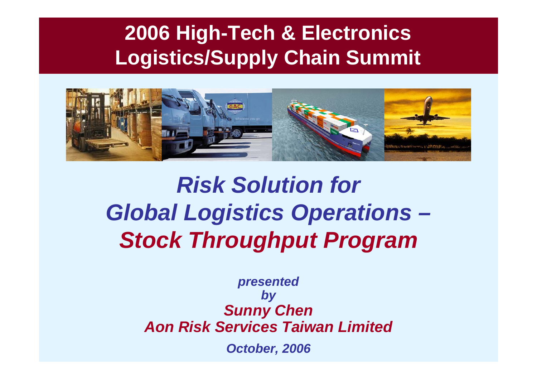#### **2006 High-Tech & Electronics Logistics/Supply Chain Summit**



# *Risk Solution for Global Logistics Operations – Stock Throughput Program*

*presented by Sunny Chen Aon Risk Services Taiwan LimitedOctober, 2006*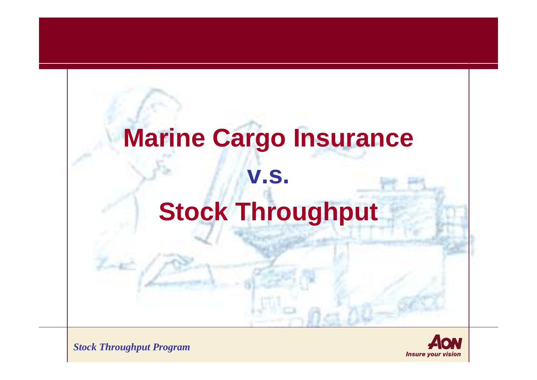# **Marine Cargo Insurance v.s. Stock Throughput**

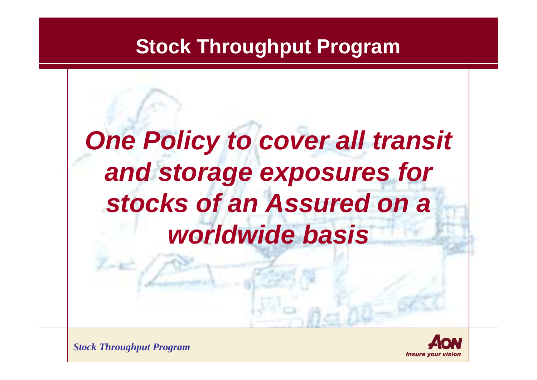#### **Stock Throughput Program**

# *One Policy to cover all transit and storage exposures for stocks of an Assured on a worldwide basis*

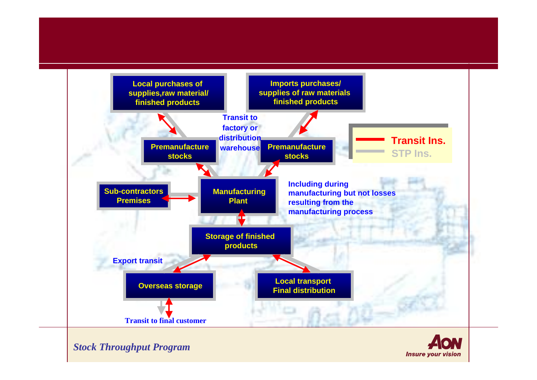

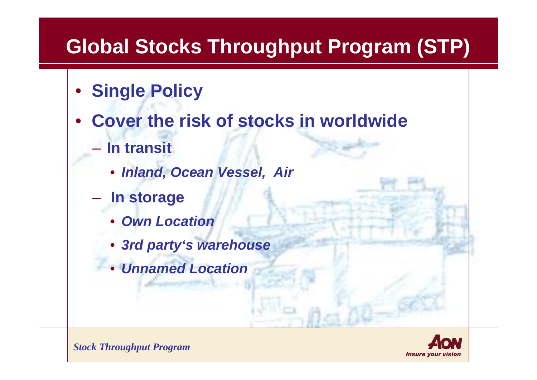### **Global Stocks Throughput Program (STP)**

- **Single Policy**
- **Cover the risk of stocks in worldwide**
	- **In transit**
		- *Inland, Ocean Vessel, Air*
	- **In storage**
		- *Own Location*
		- *3rd party's warehouse*
		- *Unnamed Location*

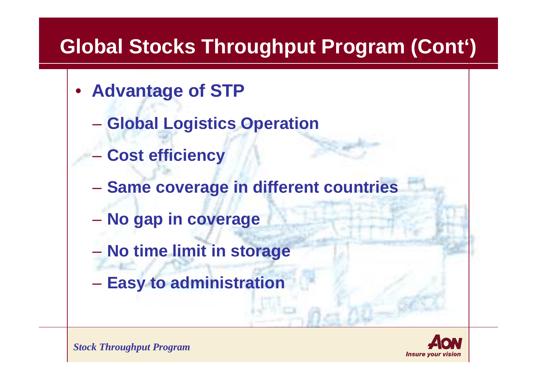## **Global Stocks Throughput Program (Cont')**

- **Advantage of STP**
	- $\mathcal{L}_{\mathcal{A}}$  , where  $\mathcal{L}_{\mathcal{A}}$  is the set of  $\mathcal{L}_{\mathcal{A}}$ **Global Logistics Operation**
	- $\mathcal{L}_{\mathcal{A}}$  , where  $\mathcal{L}_{\mathcal{A}}$  is the set of  $\mathcal{L}_{\mathcal{A}}$ **Cost efficiency**
	- $\mathcal{L}_{\mathcal{A}}$  , where  $\mathcal{L}_{\mathcal{A}}$  is the set of  $\mathcal{L}_{\mathcal{A}}$ **Same coverage in different countries**
	- $\mathcal{L}_{\mathcal{A}}$  , and the set of  $\mathcal{L}_{\mathcal{A}}$ **No gap in coverage**
	- $\mathcal{L}_{\mathcal{A}}$  , and the set of  $\mathcal{L}_{\mathcal{A}}$ **No time limit in storage**
	- $\mathcal{L}_{\mathcal{A}}$  , and the set of  $\mathcal{L}_{\mathcal{A}}$ **Easy to administration**

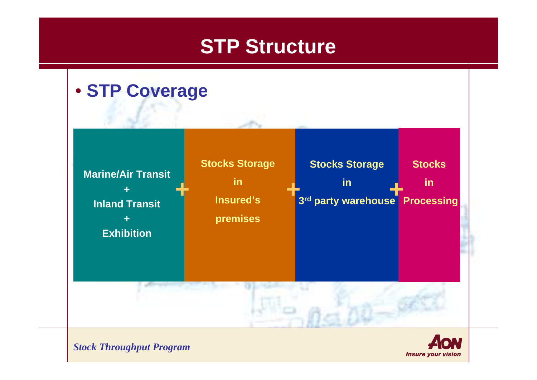#### **STP Structure**



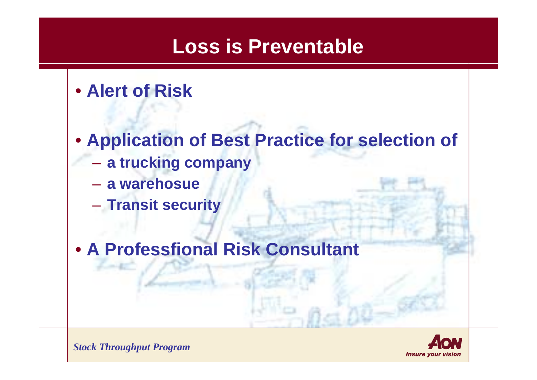#### **Loss is Preventable**

• **Alert of Risk**

- **Application of Best Practice for selection of** 
	- **a trucking company**
	- **a warehosue**
	- **Transit security**
- **A Professfional Risk Consultant**

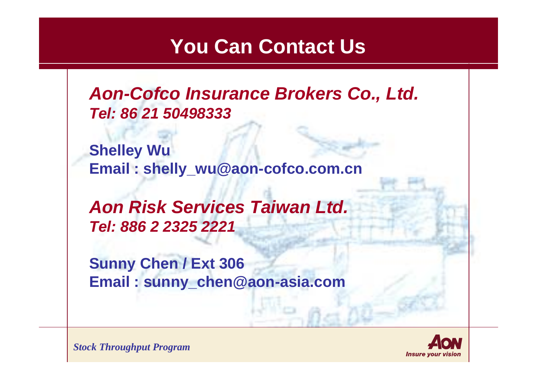#### **You Can Contact Us**

*Aon-Cofco Insurance Brokers Co., Ltd. Tel: 86 21 50498333*

**Shelley Wu Email : shelly\_wu@aon-cofco.com.cn**

*Aon Risk Services Taiwan Ltd. Tel: 886 2 2325 2221*

**Sunny Chen / Ext 306 Email : sunny\_chen@aon-asia.com**